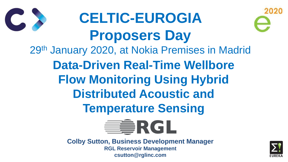**CELTIC-EUROGIA Proposers Day** 29th January 2020, at Nokia Premises in Madrid **Data-Driven Real-Time Wellbore Flow Monitoring Using Hybrid Distributed Acoustic and Temperature Sensing** ERGL





# 



**Colby Sutton, Business Development Manager RGL Reservoir Management csutton@rglinc.com**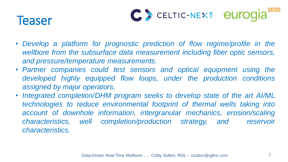# Teaser



- *Develop a platform for prognostic prediction of flow regime/profile in the wellbore from the subsurface data measurement including fiber optic sensors, and pressure/temperature measurements.*
- *Partner companies could test sensors and optical equipment using the developed highly equipped flow loops, under the production conditions assigned by major operators.*
- *characteristics.*

• *Integrated completion/DHM program seeks to develop state of the art AI/ML technologies to reduce environmental footprint of thermal wells taking into account of downhole information, intergranular mechanics, erosion/scaling characteristics, well completion/production strategy, and reservoir*







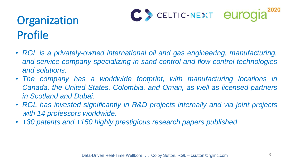# Organization Profile

- *RGL is a privately-owned international oil and gas engineering, manufacturing, and service company specializing in sand control and flow control technologies and solutions.*
- *The company has a worldwide footprint, with manufacturing locations in Canada, the United States, Colombia, and Oman, as well as licensed partners in Scotland and Dubai.*
- *RGL has invested significantly in R&D projects internally and via joint projects with 14 professors worldwide.*
- *+30 patents and +150 highly prestigious research papers published.*











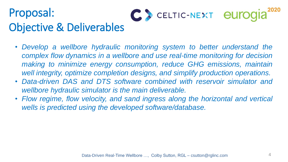# Proposal: Objective & Deliverables

• *Develop a wellbore hydraulic monitoring system to better understand the complex flow dynamics in a wellbore and use real-time monitoring for decision making to minimize energy consumption, reduce GHG emissions, maintain well integrity, optimize completion designs, and simplify production operations.* • *Data-driven DAS and DTS software combined with reservoir simulator and*

• *Flow regime, flow velocity, and sand ingress along the horizontal and vertical*

- 
- *wellbore hydraulic simulator is the main deliverable.*
- *wells is predicted using the developed software/database.*









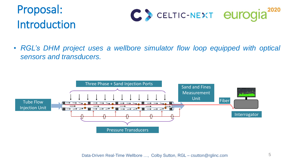# Proposal: Introduction



### • *RGL's DHM project uses a wellbore simulator flow loop equipped with optical sensors and transducers.*





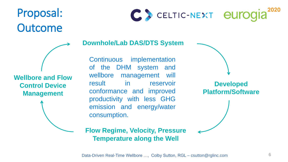



### **Flow Regime, Velocity, Pressure Temperature along the Well**





**Downhole/Lab DAS/DTS System**

Continuous implementation of the DHM system and wellbore management will result in reservoir conformance and improved productivity with less GHG emission and energy/water consumption.

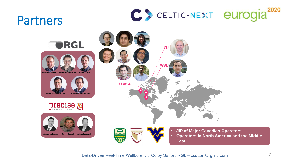# Partners















**PIECISE** 





**Michael Melnychuk Daniel Keough Nathan Frederick**





**Brent Fermaniuk Vahid Fattahpour, PhD Colby Sutton**



- **JIP of Major Canadian Operators**
- **Operators in North America and the Middle East**

Data-Driven Real-Time Wellbore ..., Colby Sutton, RGL – csutton@rglinc.com